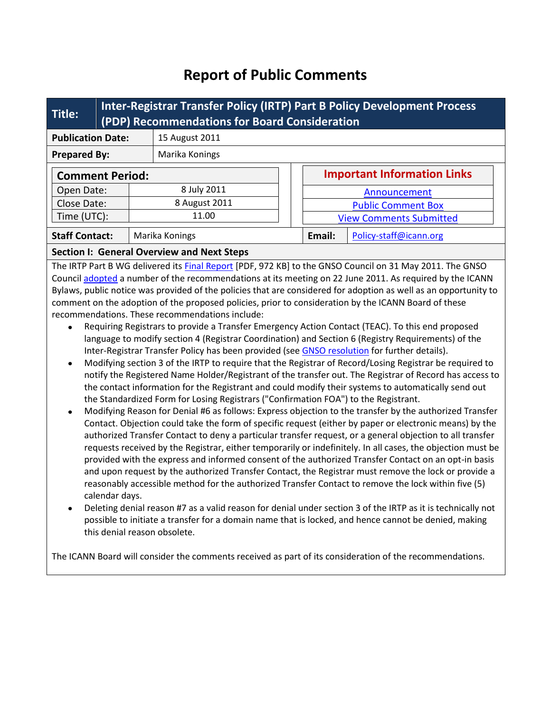# **Report of Public Comments**

| Title:                   | Inter-Registrar Transfer Policy (IRTP) Part B Policy Development Process<br>(PDP) Recommendations for Board Consideration |                                                   |        |                                    |                        |  |  |  |
|--------------------------|---------------------------------------------------------------------------------------------------------------------------|---------------------------------------------------|--------|------------------------------------|------------------------|--|--|--|
| <b>Publication Date:</b> |                                                                                                                           | 15 August 2011                                    |        |                                    |                        |  |  |  |
| <b>Prepared By:</b>      |                                                                                                                           | Marika Konings                                    |        |                                    |                        |  |  |  |
| <b>Comment Period:</b>   |                                                                                                                           |                                                   |        | <b>Important Information Links</b> |                        |  |  |  |
| Open Date:               |                                                                                                                           | 8 July 2011                                       |        | Announcement                       |                        |  |  |  |
| Close Date:              |                                                                                                                           | 8 August 2011                                     |        | <b>Public Comment Box</b>          |                        |  |  |  |
| Time (UTC):              |                                                                                                                           | 11.00                                             |        | <b>View Comments Submitted</b>     |                        |  |  |  |
| <b>Staff Contact:</b>    |                                                                                                                           | Marika Konings                                    | Email: |                                    | Policy-staff@icann.org |  |  |  |
|                          |                                                                                                                           | <b>Section I: General Overview and Next Steps</b> |        |                                    |                        |  |  |  |

The IRTP Part B WG delivered its **Final Report** [PDF, 972 KB] to the GNSO Council on 31 May 2011. The GNSO Council [adopted](http://gnso.icann.org/resolutions/#201106) a number of the recommendations at its meeting on 22 June 2011. As required by the ICANN Bylaws, public notice was provided of the policies that are considered for adoption as well as an opportunity to comment on the adoption of the proposed policies, prior to consideration by the ICANN Board of these recommendations. These recommendations include:

- Requiring Registrars to provide a Transfer Emergency Action Contact (TEAC). To this end proposed language to modify section 4 (Registrar Coordination) and Section 6 (Registry Requirements) of the Inter-Registrar Transfer Policy has been provided (see [GNSO resolution](http://gnso.icann.org/resolutions/#201106) for further details).
- Modifying section 3 of the IRTP to require that the Registrar of Record/Losing Registrar be required to notify the Registered Name Holder/Registrant of the transfer out. The Registrar of Record has access to the contact information for the Registrant and could modify their systems to automatically send out the Standardized Form for Losing Registrars ("Confirmation FOA") to the Registrant.
- Modifying Reason for Denial #6 as follows: Express objection to the transfer by the authorized Transfer Contact. Objection could take the form of specific request (either by paper or electronic means) by the authorized Transfer Contact to deny a particular transfer request, or a general objection to all transfer requests received by the Registrar, either temporarily or indefinitely. In all cases, the objection must be provided with the express and informed consent of the authorized Transfer Contact on an opt-in basis and upon request by the authorized Transfer Contact, the Registrar must remove the lock or provide a reasonably accessible method for the authorized Transfer Contact to remove the lock within five (5) calendar days.
- Deleting denial reason #7 as a valid reason for denial under section 3 of the IRTP as it is technically not possible to initiate a transfer for a domain name that is locked, and hence cannot be denied, making this denial reason obsolete.

The ICANN Board will consider the comments received as part of its consideration of the recommendations.